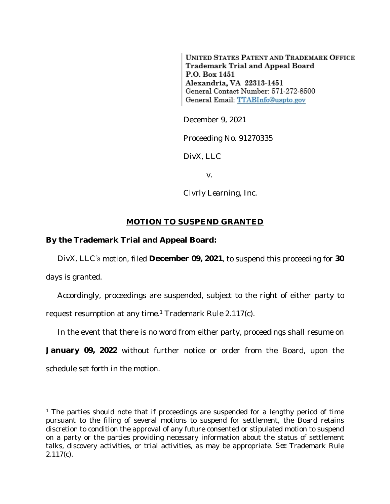**UNITED STATES PATENT AND TRADEMARK OFFICE** Trademark Trial and Appeal Board P.O. Box 1451 Alexandria, VA 22313-1451 General Contact Number: 571-272-8500 General Email: TTABInfo@uspto.gov

December 9, 2021

Proceeding No. 91270335

*DivX, LLC*

v.

*Clvrly Learning, Inc.*

## **MOTION TO SUSPEND GRANTED**

## **By the Trademark Trial and Appeal Board:**

*DivX, LLC's* motion, filed **December 09, 2021**, to suspend this proceeding for **30** days is granted.

Accordingly, proceedings are suspended, subject to the right of either party to request resumption at any time.<sup>1</sup> Trademark Rule 2.117(c).

In the event that there is no word from either party, proceedings shall resume on

**January 09, 2022** without further notice or order from the Board, upon the schedule set forth in the motion.

<sup>&</sup>lt;sup>1</sup> The parties should note that if proceedings are suspended for a lengthy period of time pursuant to the filing of several motions to suspend for settlement, the Board retains discretion to condition the approval of any future consented or stipulated motion to suspend on a party or the parties providing necessary information about the status of settlement talks, discovery activities, or trial activities, as may be appropriate. *See* Trademark Rule 2.117(c).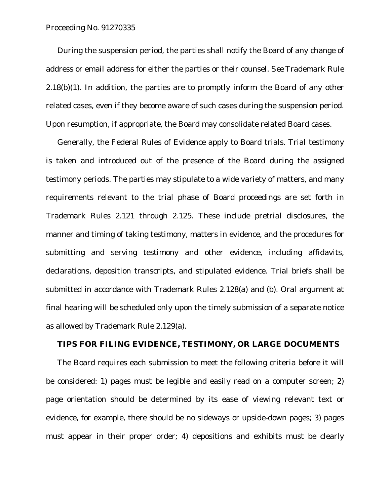## Proceeding No. 91270335

During the suspension period, the parties shall notify the Board of any change of address or email address for either the parties or their counsel. *See* Trademark Rule  $2.18(b)(1)$ . In addition, the parties are to promptly inform the Board of any other related cases, even if they become aware of such cases during the suspension period. Upon resumption, if appropriate, the Board may consolidate related Board cases.

Generally, the Federal Rules of Evidence apply to Board trials. Trial testimony is taken and introduced out of the presence of the Board during the assigned testimony periods. The parties may stipulate to a wide variety of matters, and many requirements relevant to the trial phase of Board proceedings are set forth in Trademark Rules 2.121 through 2.125. These include pretrial disclosures, the manner and timing of taking testimony, matters in evidence, and the procedures for submitting and serving testimony and other evidence, including affidavits, declarations, deposition transcripts, and stipulated evidence. Trial briefs shall be submitted in accordance with Trademark Rules 2.128(a) and (b). Oral argument at final hearing will be scheduled only upon the timely submission of a separate notice as allowed by Trademark Rule 2.129(a).

## **TIPS FOR FILING EVIDENCE, TESTIMONY, OR LARGE DOCUMENTS**

The Board requires each submission to meet the following criteria before it will be considered: 1) pages must be legible and easily read on a computer screen; 2) page orientation should be determined by its ease of viewing relevant text or evidence, for example, there should be no sideways or upside-down pages; 3) pages must appear in their proper order; 4) depositions and exhibits must be clearly